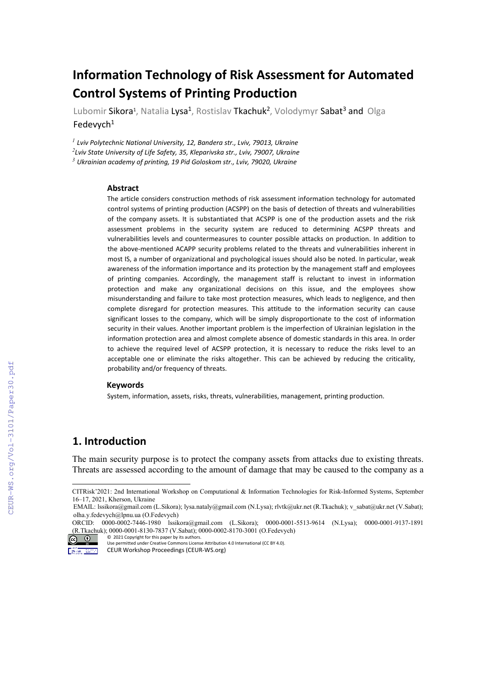# **Information Technology of Risk Assessment for Automated Control Systems of Printing Production**

Lubomir Sikora<sup>1</sup>, Natalia Lysa<sup>1</sup>, Rostislav Tkachuk<sup>2</sup>, Volodymyr Sabat<sup>3</sup> and Olga Fedevych $1$ 

*<sup>1</sup> Lviv Polytechnic National University, 12, Bandera str., Lviv, 79013, Ukraine 2 Lviv State University of Life Safety, 35, Kleparivska str., Lviv, 79007, Ukraine <sup>3</sup> Ukrainian academy of printing, 19 Pid Goloskom str., Lviv, 79020, Ukraine*

#### **Abstract**

The article considers construction methods of risk assessment information technology for automated control systems of printing production (ACSPP) on the basis of detection of threats and vulnerabilities of the company assets. It is substantiated that ACSPP is one of the production assets and the risk assessment problems in the security system are reduced to determining ACSPP threats and vulnerabilities levels and countermeasures to counter possible attacks on production. In addition to the above-mentioned ACAPP security problems related to the threats and vulnerabilities inherent in most IS, a number of organizational and psychological issues should also be noted. In particular, weak awareness of the information importance and its protection by the management staff and employees of printing companies. Accordingly, the management staff is reluctant to invest in information protection and make any organizational decisions on this issue, and the employees show misunderstanding and failure to take most protection measures, which leads to negligence, and then complete disregard for protection measures. This attitude to the information security can cause significant losses to the company, which will be simply disproportionate to the cost of information security in their values. Another important problem is the imperfection of Ukrainian legislation in the information protection area and almost complete absence of domestic standards in this area. In order to achieve the required level of ACSPP protection, it is necessary to reduce the risks level to an acceptable one or eliminate the risks altogether. This can be achieved by reducing the criticality, probability and/or frequency of threats.

#### **Keywords**

System, information, assets, risks, threats, vulnerabilities, management, printing production.

## **1. Introduction**

The main security purpose is to protect the company assets from attacks due to existing threats. Threats are assessed according to the amount of damage that may be caused to the company as a

<span id="page-0-0"></span>CITRisk'2021: 2nd International Workshop on Computational & Information Technologies for Risk-Informed Systems, September 16–17, 2021, Kherson, Ukraine

EMAIL: [lssikora@gmail.com](mailto:lssikora@gmail.com) (L.Sikora)[; lysa.nataly@gmail.com](mailto:lysa.nataly@gmail.com) (N.Lysa); [rlvtk@ukr.net](mailto:lvtk@ukr.net) (R.Tkachuk)[; v\\_sabat@ukr.net](mailto:v_sabat@ukr.net) (V.Sabat); [olha.y.fedevych@lpnu.ua](mailto:olha.y.fedevych@lpnu.ua) (O.Fedevych)

ORCID: 0000-0002-7446-1980 [lssikora@gmail.com](mailto:lssikora@gmail.com) (L.Sikora); 0000-0001-5513-9614 (N.Lysa); 0000-0001-9137-1891 (R.Tkachuk); 0000-0001-8130-7837 (V.Sabat); 0000-0002-8170-3001 (O.Fedevych)

<sup>©</sup> 2021 Copyright for this paper by its authors. Use permitted under Creative Commons License Attribution 4.0 International (CC BY 4.0).

CEUR Workshop Proceedings (CEUR-WS.org) Marchan County 1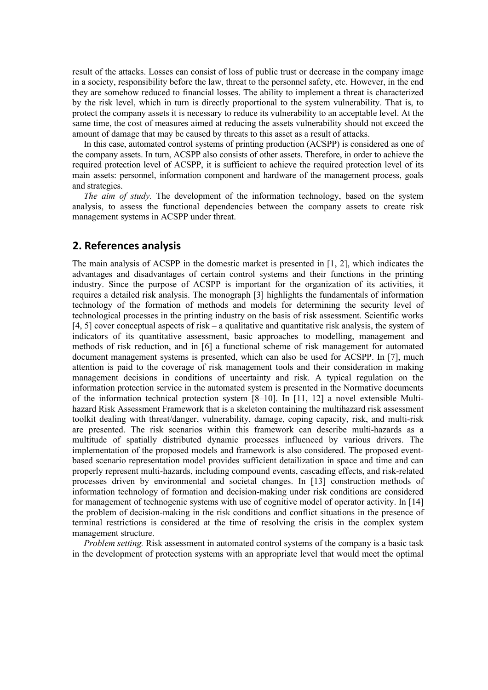result of the attacks. Losses can consist of loss of public trust or decrease in the company image in a society, responsibility before the law, threat to the personnel safety, etc. However, in the end they are somehow reduced to financial losses. The ability to implement a threat is characterized by the risk level, which in turn is directly proportional to the system vulnerability. That is, to protect the company assets it is necessary to reduce its vulnerability to an acceptable level. At the same time, the cost of measures aimed at reducing the assets vulnerability should not exceed the amount of damage that may be caused by threats to this asset as a result of attacks.

In this case, automated control systems of printing production (ACSPP) is considered as one of the company assets. In turn, ACSPP also consists of other assets. Therefore, in order to achieve the required protection level of ACSPP, it is sufficient to achieve the required protection level of its main assets: personnel, information component and hardware of the management process, goals and strategies.

*The aim of study.* The development of the information technology, based on the system analysis, to assess the functional dependencies between the company assets to create risk management systems in ACSPP under threat.

### **2. References analysis**

The main analysis of ACSPP in the domestic market is presented in [1, 2], which indicates the advantages and disadvantages of certain control systems and their functions in the printing industry. Since the purpose of ACSPP is important for the organization of its activities, it requires a detailed risk analysis. The monograph [3] highlights the fundamentals of information technology of the formation of methods and models for determining the security level of technological processes in the printing industry on the basis of risk assessment. Scientific works [4, 5] cover conceptual aspects of risk – a qualitative and quantitative risk analysis, the system of indicators of its quantitative assessment, basic approaches to modelling, management and methods of risk reduction, and in [6] a functional scheme of risk management for automated document management systems is presented, which can also be used for ACSPP. In [7], much attention is paid to the coverage of risk management tools and their consideration in making management decisions in conditions of uncertainty and risk. A typical regulation on the information protection service in the automated system is presented in the Normative documents of the information technical protection system [8–10]. In [11, 12] a novel extensible Multihazard Risk Assessment Framework that is a skeleton containing the multihazard risk assessment toolkit dealing with threat/danger, vulnerability, damage, coping capacity, risk, and multi-risk are presented. The risk scenarios within this framework can describe multi-hazards as a multitude of spatially distributed dynamic processes influenced by various drivers. The implementation of the proposed models and framework is also considered. The proposed eventbased scenario representation model provides sufficient detailization in space and time and can properly represent multi-hazards, including compound events, cascading effects, and risk-related processes driven by environmental and societal changes. In [13] construction methods of information technology of formation and decision-making under risk conditions are considered for management of technogenic systems with use of cognitive model of operator activity. In [14] the problem of decision-making in the risk conditions and conflict situations in the presence of terminal restrictions is considered at the time of resolving the crisis in the complex system management structure.

*Problem setting.* Risk assessment in automated control systems of the company is a basic task in the development of protection systems with an appropriate level that would meet the optimal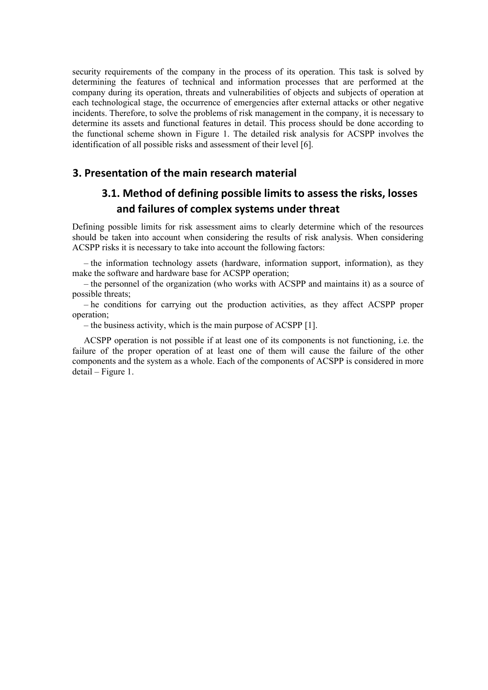security requirements of the company in the process of its operation. This task is solved by determining the features of technical and information processes that are performed at the company during its operation, threats and vulnerabilities of objects and subjects of operation at each technological stage, the occurrence of emergencies after external attacks or other negative incidents. Therefore, to solve the problems of risk management in the company, it is necessary to determine its assets and functional features in detail. This process should be done according to the functional scheme shown in Figure 1. The detailed risk analysis for ACSPP involves the identification of all possible risks and assessment of their level [6].

#### **3. Presentation of the main research material**

# **3.1. Method of defining possible limits to assess the risks, losses and failures of complex systems under threat**

Defining possible limits for risk assessment aims to clearly determine which of the resources should be taken into account when considering the results of risk analysis. When considering ACSPP risks it is necessary to take into account the following factors:

– the information technology assets (hardware, information support, information), as they make the software and hardware base for ACSPP operation;

– the personnel of the organization (who works with ACSPP and maintains it) as a source of possible threats;

– he conditions for carrying out the production activities, as they affect ACSPP proper operation;

– the business activity, which is the main purpose of ACSPP [1].

ACSPP operation is not possible if at least one of its components is not functioning, i.e. the failure of the proper operation of at least one of them will cause the failure of the other components and the system as a whole. Each of the components of ACSPP is considered in more detail – Figure 1.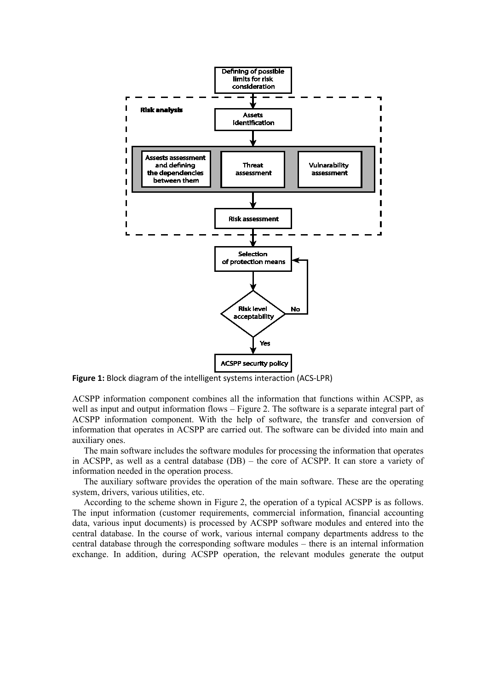

**Figure 1:** Block diagram of the intelligent systems interaction (ACS-LPR)

ACSPP information component combines all the information that functions within ACSPP, as well as input and output information flows – Figure 2. The software is a separate integral part of ACSPP information component. With the help of software, the transfer and conversion of information that operates in ACSPP are carried out. The software can be divided into main and auxiliary ones.

The main software includes the software modules for processing the information that operates in ACSPP, as well as a central database (DB) – the core of ACSPP. It can store a variety of information needed in the operation process.

The auxiliary software provides the operation of the main software. These are the operating system, drivers, various utilities, etc.

According to the scheme shown in Figure 2, the operation of a typical ACSPP is as follows. The input information (customer requirements, commercial information, financial accounting data, various input documents) is processed by ACSPP software modules and entered into the central database. In the course of work, various internal company departments address to the central database through the corresponding software modules – there is an internal information exchange. In addition, during ACSPP operation, the relevant modules generate the output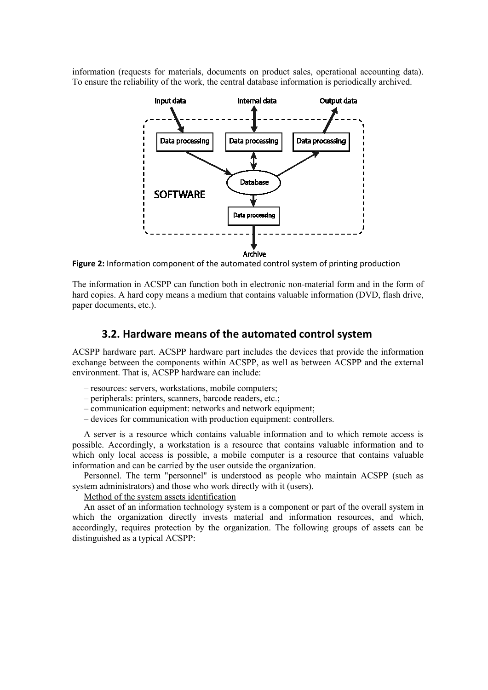information (requests for materials, documents on product sales, operational accounting data). To ensure the reliability of the work, the central database information is periodically archived.



**Figure 2:** Information component of the automated control system of printing production

The information in ACSPP can function both in electronic non-material form and in the form of hard copies. A hard copy means a medium that contains valuable information (DVD, flash drive, paper documents, etc.).

#### **3.2. Hardware means of the automated control system**

ACSPP hardware part. ACSPP hardware part includes the devices that provide the information exchange between the components within ACSPP, as well as between ACSPP and the external environment. That is, ACSPP hardware can include:

- resources: servers, workstations, mobile computers;
- peripherals: printers, scanners, barcode readers, etc.;
- communication equipment: networks and network equipment;
- devices for communication with production equipment: controllers.

A server is a resource which contains valuable information and to which remote access is possible. Accordingly, a workstation is a resource that contains valuable information and to which only local access is possible, a mobile computer is a resource that contains valuable information and can be carried by the user outside the organization.

Personnel. The term "personnel" is understood as people who maintain ACSPP (such as system administrators) and those who work directly with it (users).

Method of the system assets identification

An asset of an information technology system is a component or part of the overall system in which the organization directly invests material and information resources, and which, accordingly, requires protection by the organization. The following groups of assets can be distinguished as a typical ACSPP: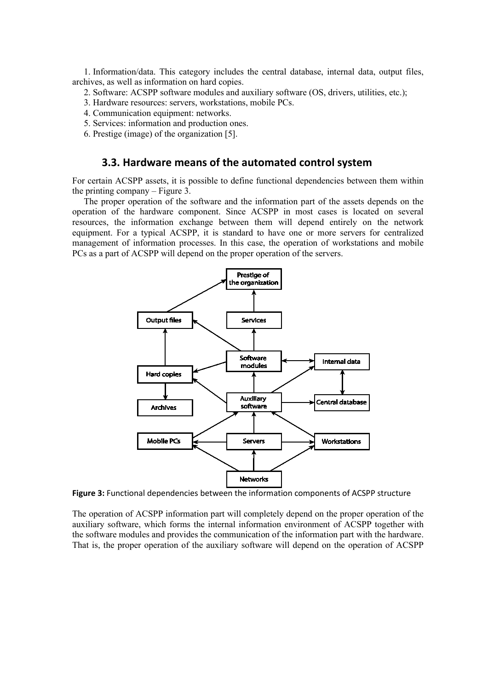1. Information/data. This category includes the central database, internal data, output files, archives, as well as information on hard copies.

2. Software: ACSPP software modules and auxiliary software (OS, drivers, utilities, etc.);

3. Hardware resources: servers, workstations, mobile PCs.

4. Communication equipment: networks.

5. Services: information and production ones.

6. Prestige (image) of the organization [5].

#### **3.3. Hardware means of the automated control system**

For certain ACSPP assets, it is possible to define functional dependencies between them within the printing company – Figure 3.

The proper operation of the software and the information part of the assets depends on the operation of the hardware component. Since ACSPP in most cases is located on several resources, the information exchange between them will depend entirely on the network equipment. For a typical ACSPP, it is standard to have one or more servers for centralized management of information processes. In this case, the operation of workstations and mobile PCs as a part of ACSPP will depend on the proper operation of the servers.



**Figure 3:** Functional dependencies between the information components of ACSPP structure

The operation of ACSPP information part will completely depend on the proper operation of the auxiliary software, which forms the internal information environment of ACSPP together with the software modules and provides the communication of the information part with the hardware. That is, the proper operation of the auxiliary software will depend on the operation of ACSPP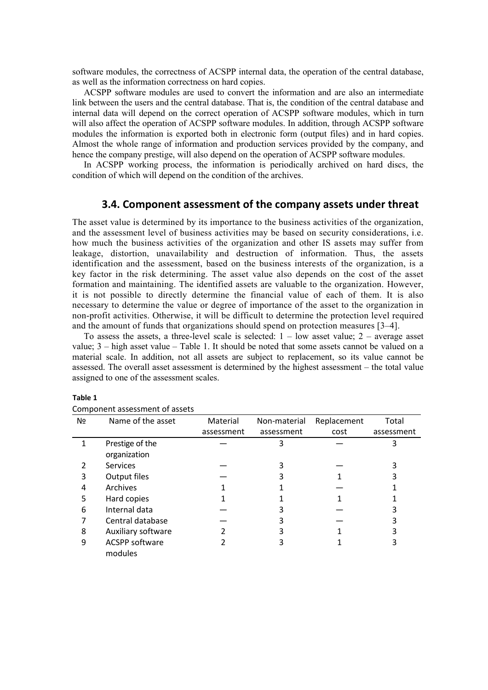software modules, the correctness of ACSPP internal data, the operation of the central database, as well as the information correctness on hard copies.

ACSPP software modules are used to convert the information and are also an intermediate link between the users and the central database. That is, the condition of the central database and internal data will depend on the correct operation of ACSPP software modules, which in turn will also affect the operation of ACSPP software modules. In addition, through ACSPP software modules the information is exported both in electronic form (output files) and in hard copies. Almost the whole range of information and production services provided by the company, and hence the company prestige, will also depend on the operation of ACSPP software modules.

In ACSPP working process, the information is periodically archived on hard discs, the condition of which will depend on the condition of the archives.

#### **3.4. Component assessment of the company assets under threat**

The asset value is determined by its importance to the business activities of the organization, and the assessment level of business activities may be based on security considerations, i.e. how much the business activities of the organization and other IS assets may suffer from leakage, distortion, unavailability and destruction of information. Thus, the assets identification and the assessment, based on the business interests of the organization, is a key factor in the risk determining. The asset value also depends on the cost of the asset formation and maintaining. The identified assets are valuable to the organization. However, it is not possible to directly determine the financial value of each of them. It is also necessary to determine the value or degree of importance of the asset to the organization in non-profit activities. Otherwise, it will be difficult to determine the protection level required and the amount of funds that organizations should spend on protection measures [3–4].

To assess the assets, a three-level scale is selected:  $1 - low$  asset value;  $2 - average$  asset value; 3 – high asset value – Table 1. It should be noted that some assets cannot be valued on a material scale. In addition, not all assets are subject to replacement, so its value cannot be assessed. The overall asset assessment is determined by the highest assessment – the total value assigned to one of the assessment scales.

| Nº | Name of the asset     | Material   | Non-material | Replacement | Total      |
|----|-----------------------|------------|--------------|-------------|------------|
|    |                       | assessment | assessment   | cost        | assessment |
|    | Prestige of the       |            | 3            |             |            |
|    | organization          |            |              |             |            |
| 2  | <b>Services</b>       |            | 3            |             |            |
| 3  | Output files          |            |              |             |            |
| 4  | Archives              |            |              |             |            |
| 5  | Hard copies           |            |              |             |            |
| 6  | Internal data         |            |              |             |            |
|    | Central database      |            |              |             |            |
| 8  | Auxiliary software    |            |              |             |            |
| 9  | <b>ACSPP software</b> |            | 3            |             |            |
|    | modules               |            |              |             |            |

#### **Table 1**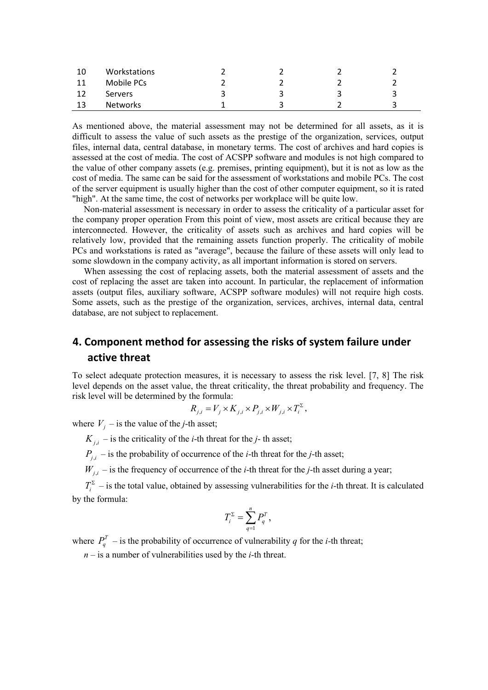| 10 | Workstations   |  |    |
|----|----------------|--|----|
| 11 | Mobile PCs     |  |    |
| 12 | <b>Servers</b> |  | ્ર |
| 13 | Networks       |  | ີ  |

As mentioned above, the material assessment may not be determined for all assets, as it is difficult to assess the value of such assets as the prestige of the organization, services, output files, internal data, central database, in monetary terms. The cost of archives and hard copies is assessed at the cost of media. The cost of ACSPP software and modules is not high compared to the value of other company assets (e.g. premises, printing equipment), but it is not as low as the cost of media. The same can be said for the assessment of workstations and mobile PCs. The cost of the server equipment is usually higher than the cost of other computer equipment, so it is rated "high". At the same time, the cost of networks per workplace will be quite low.

Non-material assessment is necessary in order to assess the criticality of a particular asset for the company proper operation From this point of view, most assets are critical because they are interconnected. However, the criticality of assets such as archives and hard copies will be relatively low, provided that the remaining assets function properly. The criticality of mobile PCs and workstations is rated as "average", because the failure of these assets will only lead to some slowdown in the company activity, as all important information is stored on servers.

When assessing the cost of replacing assets, both the material assessment of assets and the cost of replacing the asset are taken into account. In particular, the replacement of information assets (output files, auxiliary software, ACSPP software modules) will not require high costs. Some assets, such as the prestige of the organization, services, archives, internal data, central database, are not subject to replacement.

# **4. Component method for assessing the risks of system failure under active threat**

To select adequate protection measures, it is necessary to assess the risk level. [7, 8] The risk level depends on the asset value, the threat criticality, the threat probability and frequency. The risk level will be determined by the formula:

$$
R_{j,i} = V_j \times K_{j,i} \times P_{j,i} \times W_{j,i} \times T_i^{\Sigma},
$$

where  $V_i$  – is the value of the *j*-th asset;

 $K_{i,i}$  – is the criticality of the *i*-th threat for the *j*-th asset;

 $P_{ij}$  – is the probability of occurrence of the *i*-th threat for the *j*-th asset;

 $W_{i,i}$  – is the frequency of occurrence of the *i*-th threat for the *j*-th asset during a year;

 $T_i^{\Sigma}$  – is the total value, obtained by assessing vulnerabilities for the *i*-th threat. It is calculated by the formula:

$$
T_i^{\Sigma} = \sum_{q=1}^n P_q^T,
$$

where  $P_q^T$  – is the probability of occurrence of vulnerability *q* for the *i*-th threat;

*n* – is a number of vulnerabilities used by the *i*-th threat.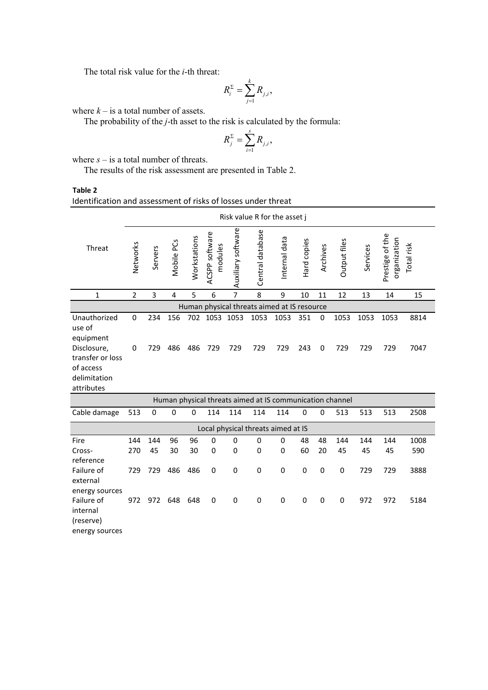The total risk value for the *і*-th threat:

$$
R_i^{\Sigma} = \sum_{j=1}^k R_{j,i},
$$

where  $k -$  is a total number of assets.

The probability of the *j*-th asset to the risk is calculated by the formula:

$$
R_j^{\Sigma} = \sum_{i=1}^s R_{j,i},
$$

where  $s -$  is a total number of threats.

The results of the risk assessment are presented in Table 2.

**Table 2** Identification and assessment of risks of losses under threat

|                                                                            | Risk value R for the asset j |           |             |              |                           |                    |                                                          |               |             |          |              |           |                                 |             |
|----------------------------------------------------------------------------|------------------------------|-----------|-------------|--------------|---------------------------|--------------------|----------------------------------------------------------|---------------|-------------|----------|--------------|-----------|---------------------------------|-------------|
| Threat                                                                     | Networks                     | Servers   | Mobile PCs  | Workstations | ACSPP software<br>modules | Auxiliary software | Central database                                         | Internal data | Hard copies | Archives | Output files | Services  | Prestige of the<br>organization | Total risk  |
| $\mathbf{1}$                                                               | $\overline{2}$               | 3         | 4           | 5            | 6                         | $\overline{7}$     | 8                                                        | 9             | 10          | 11       | 12           | 13        | 14                              | 15          |
|                                                                            |                              |           |             |              |                           |                    | Human physical threats aimed at IS resource              |               |             |          |              |           |                                 |             |
| Unauthorized<br>use of<br>equipment                                        | 0                            | 234       | 156         | 702          | 1053 1053                 |                    | 1053                                                     | 1053          | 351         | 0        | 1053         | 1053      | 1053                            | 8814        |
| Disclosure,<br>transfer or loss<br>of access<br>delimitation<br>attributes | 0                            | 729       | 486         | 486          | 729                       | 729                | 729                                                      | 729           | 243         | 0        | 729          | 729       | 729                             | 7047        |
|                                                                            |                              |           |             |              |                           |                    | Human physical threats aimed at IS communication channel |               |             |          |              |           |                                 |             |
| Cable damage                                                               | 513                          | 0         | $\mathbf 0$ | 0            | 114                       | 114                | 114                                                      | 114           | 0           | 0        | 513          | 513       | 513                             | 2508        |
|                                                                            |                              |           |             |              |                           |                    | Local physical threats aimed at IS                       |               |             |          |              |           |                                 |             |
| Fire<br>Cross-                                                             | 144<br>270                   | 144<br>45 | 96<br>30    | 96<br>30     | $\Omega$<br>0             | 0<br>0             | 0<br>0                                                   | 0<br>0        | 48<br>60    | 48<br>20 | 144<br>45    | 144<br>45 | 144<br>45                       | 1008<br>590 |
| reference<br>Failure of<br>external                                        | 729                          | 729       | 486         | 486          | 0                         | 0                  | 0                                                        | 0             | 0           | 0        | 0            | 729       | 729                             | 3888        |
| energy sources<br>Failure of<br>internal<br>(reserve)<br>energy sources    | 972                          | 972       | 648         | 648          | 0                         | 0                  | 0                                                        | $\pmb{0}$     | 0           | 0        | 0            | 972       | 972                             | 5184        |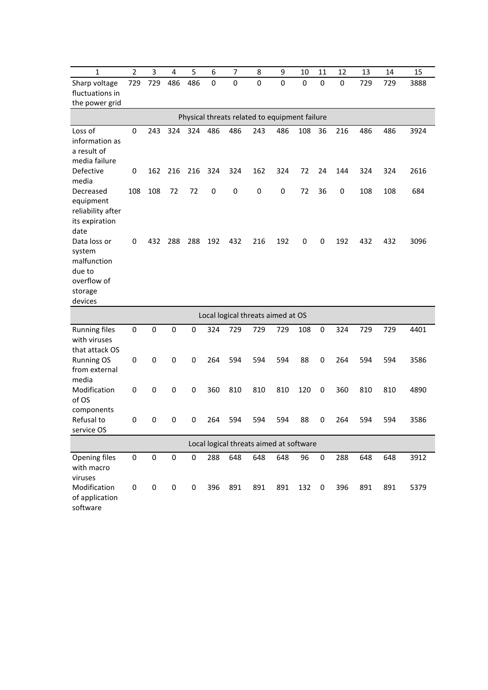| $\mathbf{1}$                   | $\overline{2}$ | 3         | $\overline{\mathbf{4}}$ | 5           | 6           | 7         | 8                                             | 9           | 10  | 11          | 12          | 13  | 14  | 15   |
|--------------------------------|----------------|-----------|-------------------------|-------------|-------------|-----------|-----------------------------------------------|-------------|-----|-------------|-------------|-----|-----|------|
| Sharp voltage                  | 729            | 729       | 486                     | 486         | $\mathbf 0$ | $\pmb{0}$ | 0                                             | $\mathbf 0$ | 0   | $\mathbf 0$ | $\mathbf 0$ | 729 | 729 | 3888 |
| fluctuations in                |                |           |                         |             |             |           |                                               |             |     |             |             |     |     |      |
| the power grid                 |                |           |                         |             |             |           |                                               |             |     |             |             |     |     |      |
|                                |                |           |                         |             |             |           | Physical threats related to equipment failure |             |     |             |             |     |     |      |
| Loss of                        | 0              | 243       | 324                     | 324         | 486         | 486       | 243                                           | 486         | 108 | 36          | 216         | 486 | 486 | 3924 |
| information as                 |                |           |                         |             |             |           |                                               |             |     |             |             |     |     |      |
| a result of                    |                |           |                         |             |             |           |                                               |             |     |             |             |     |     |      |
| media failure                  |                |           |                         |             |             |           |                                               |             |     |             |             |     |     |      |
| Defective<br>media             | 0              | 162       | 216                     | 216         | 324         | 324       | 162                                           | 324         | 72  | 24          | 144         | 324 | 324 | 2616 |
| Decreased                      | 108            | 108       | 72                      | 72          | 0           | 0         | 0                                             | 0           | 72  | 36          | 0           | 108 | 108 | 684  |
| equipment                      |                |           |                         |             |             |           |                                               |             |     |             |             |     |     |      |
| reliability after              |                |           |                         |             |             |           |                                               |             |     |             |             |     |     |      |
| its expiration                 |                |           |                         |             |             |           |                                               |             |     |             |             |     |     |      |
| date                           |                |           |                         |             |             |           |                                               |             |     |             |             |     |     |      |
| Data loss or                   | 0              | 432       | 288                     | 288         | 192         | 432       | 216                                           | 192         | 0   | 0           | 192         | 432 | 432 | 3096 |
| system                         |                |           |                         |             |             |           |                                               |             |     |             |             |     |     |      |
| malfunction                    |                |           |                         |             |             |           |                                               |             |     |             |             |     |     |      |
| due to                         |                |           |                         |             |             |           |                                               |             |     |             |             |     |     |      |
| overflow of                    |                |           |                         |             |             |           |                                               |             |     |             |             |     |     |      |
| storage<br>devices             |                |           |                         |             |             |           |                                               |             |     |             |             |     |     |      |
|                                |                |           |                         |             |             |           |                                               |             |     |             |             |     |     |      |
|                                |                |           |                         |             |             |           | Local logical threats aimed at OS             |             |     |             |             |     |     |      |
| <b>Running files</b>           | 0              | 0         | 0                       | 0           | 324         | 729       | 729                                           | 729         | 108 | 0           | 324         | 729 | 729 | 4401 |
| with viruses<br>that attack OS |                |           |                         |             |             |           |                                               |             |     |             |             |     |     |      |
| <b>Running OS</b>              | 0              | 0         | $\mathbf 0$             | 0           | 264         | 594       | 594                                           | 594         | 88  | 0           | 264         | 594 | 594 | 3586 |
| from external                  |                |           |                         |             |             |           |                                               |             |     |             |             |     |     |      |
| media                          |                |           |                         |             |             |           |                                               |             |     |             |             |     |     |      |
| Modification                   | 0              | 0         | 0                       | 0           | 360         | 810       | 810                                           | 810         | 120 | 0           | 360         | 810 | 810 | 4890 |
| of OS                          |                |           |                         |             |             |           |                                               |             |     |             |             |     |     |      |
| components                     |                |           |                         |             |             |           |                                               |             |     |             |             |     |     |      |
| Refusal to                     | 0              | 0         | 0                       | $\mathbf 0$ | 264         | 594       | 594                                           | 594         | 88  | 0           | 264         | 594 | 594 | 3586 |
| service OS                     |                |           |                         |             |             |           |                                               |             |     |             |             |     |     |      |
|                                |                |           |                         |             |             |           | Local logical threats aimed at software       |             |     |             |             |     |     |      |
| Opening files                  | $\pmb{0}$      | $\pmb{0}$ | $\mathsf 0$             | $\pmb{0}$   | 288         | 648       | 648                                           | 648         | 96  | $\pmb{0}$   | 288         | 648 | 648 | 3912 |
| with macro                     |                |           |                         |             |             |           |                                               |             |     |             |             |     |     |      |
| viruses                        |                |           |                         |             |             |           |                                               |             |     |             |             |     |     |      |
| Modification                   | $\pmb{0}$      | $\pmb{0}$ | $\pmb{0}$               | 0           | 396         | 891       | 891                                           | 891         | 132 | 0           | 396         | 891 | 891 | 5379 |
| of application<br>software     |                |           |                         |             |             |           |                                               |             |     |             |             |     |     |      |
|                                |                |           |                         |             |             |           |                                               |             |     |             |             |     |     |      |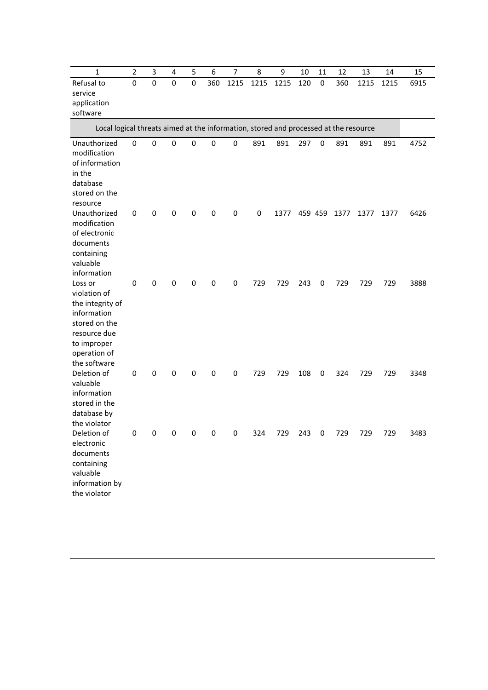| 1                                                                                                                                          | $\overline{2}$ | 3                       | 4              | 5              | 6            | $\overline{7}$ | 8    | 9         | 10  | 11 | 12           | 13   | 14   | 15   |
|--------------------------------------------------------------------------------------------------------------------------------------------|----------------|-------------------------|----------------|----------------|--------------|----------------|------|-----------|-----|----|--------------|------|------|------|
| Refusal to<br>service<br>application<br>software                                                                                           | $\mathbf 0$    | $\mathbf 0$             | 0              | $\mathbf 0$    | 360          | 1215           | 1215 | 1215      | 120 | 0  | 360          | 1215 | 1215 | 6915 |
| Local logical threats aimed at the information, stored and processed at the resource                                                       |                |                         |                |                |              |                |      |           |     |    |              |      |      |      |
| Unauthorized<br>modification<br>of information<br>in the<br>database<br>stored on the<br>resource                                          | 0              | 0                       | 0              | 0              | $\pmb{0}$    | 0              | 891  | 891       | 297 | 0  | 891          | 891  | 891  | 4752 |
| Unauthorized<br>modification<br>of electronic<br>documents<br>containing<br>valuable<br>information                                        | 0              | 0                       | 0              | 0              | 0            | 0              | 0    | 1377      |     |    | 459 459 1377 | 1377 | 1377 | 6426 |
| Loss or<br>violation of<br>the integrity of<br>information<br>stored on the<br>resource due<br>to improper<br>operation of<br>the software | 0              | $\pmb{0}$               | 0              | 0              | 0            | 0              | 729  | 729       | 243 | 0  | 729          | 729  | 729  | 3888 |
| Deletion of<br>valuable<br>information<br>stored in the<br>database by<br>the violator                                                     | 0              | 0                       | 0              | 0              | 0            | 0              | 729  | 729       | 108 | 0  | 324          | 729  | 729  | 3348 |
| Deletion of<br>electronic<br>documents<br>containing<br>valuable<br>information by<br>the violator                                         | $\mathbf{0}$   | $\overline{\mathbf{0}}$ | $\overline{0}$ | $\overline{0}$ | $\mathbf{0}$ | $\mathbf{0}$   | 324  | 729 243 0 |     |    | 729          | 729  | 729  | 3483 |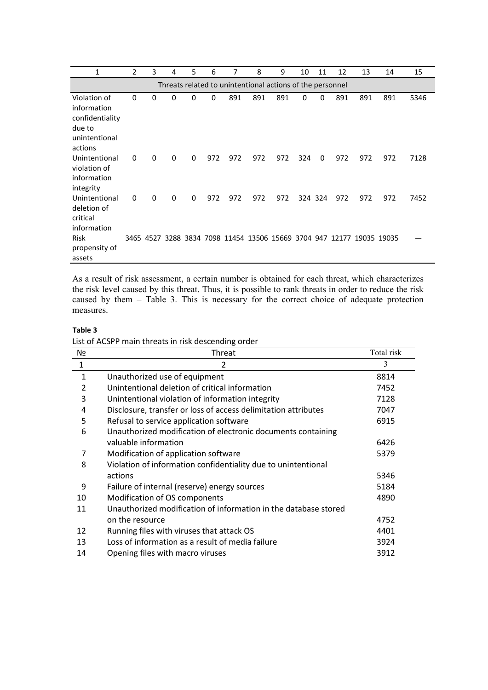| 1                                                                                    | 2 | 3 | 4        | 5 | 6   | 7   | 8   | 9                                                         | 10  | 11      | 12  | 13                                                                    | 14  | 15   |
|--------------------------------------------------------------------------------------|---|---|----------|---|-----|-----|-----|-----------------------------------------------------------|-----|---------|-----|-----------------------------------------------------------------------|-----|------|
|                                                                                      |   |   |          |   |     |     |     | Threats related to unintentional actions of the personnel |     |         |     |                                                                       |     |      |
| Violation of<br>information<br>confidentiality<br>due to<br>unintentional<br>actions | 0 | 0 | 0        | 0 | 0   | 891 | 891 | 891                                                       | 0   | 0       | 891 | 891                                                                   | 891 | 5346 |
| Unintentional<br>violation of<br>information<br>integrity                            | 0 | 0 | $\Omega$ | 0 | 972 | 972 | 972 | 972                                                       | 324 | 0       | 972 | 972                                                                   | 972 | 7128 |
| Unintentional<br>deletion of<br>critical<br>information                              | 0 | 0 | 0        | 0 | 972 | 972 | 972 | 972                                                       |     | 324 324 | 972 | 972                                                                   | 972 | 7452 |
| <b>Risk</b><br>propensity of<br>assets                                               |   |   |          |   |     |     |     |                                                           |     |         |     | 3465 4527 3288 3834 7098 11454 13506 15669 3704 947 12177 19035 19035 |     |      |

As a result of risk assessment, a certain number is obtained for each threat, which characterizes the risk level caused by this threat. Thus, it is possible to rank threats in order to reduce the risk caused by them – Table 3. This is necessary for the correct choice of adequate protection measures.

#### **Table 3**

List of ACSPP main threats in risk descending order

| Nº             | Threat                                                          | Total risk |
|----------------|-----------------------------------------------------------------|------------|
| $\mathbf{1}$   | $\mathfrak{p}$                                                  | 3          |
| $\mathbf{1}$   | Unauthorized use of equipment                                   | 8814       |
| $\overline{2}$ | Unintentional deletion of critical information                  | 7452       |
| 3              | Unintentional violation of information integrity                | 7128       |
| 4              | Disclosure, transfer or loss of access delimitation attributes  | 7047       |
| 5              | Refusal to service application software                         | 6915       |
| 6              | Unauthorized modification of electronic documents containing    |            |
|                | valuable information                                            | 6426       |
| 7              | Modification of application software                            | 5379       |
| 8              | Violation of information confidentiality due to unintentional   |            |
|                | actions                                                         | 5346       |
| 9              | Failure of internal (reserve) energy sources                    | 5184       |
| 10             | Modification of OS components                                   | 4890       |
| 11             | Unauthorized modification of information in the database stored |            |
|                | on the resource                                                 | 4752       |
| 12             | Running files with viruses that attack OS                       | 4401       |
| 13             | Loss of information as a result of media failure                | 3924       |
| 14             | Opening files with macro viruses                                | 3912       |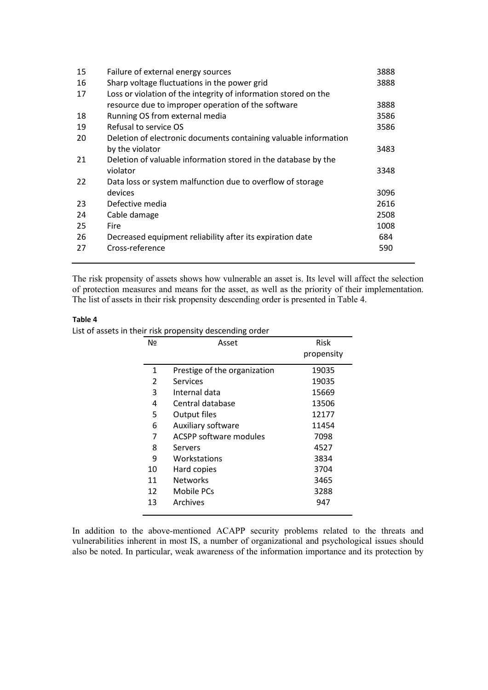| 15 | Failure of external energy sources                               | 3888 |
|----|------------------------------------------------------------------|------|
| 16 | Sharp voltage fluctuations in the power grid                     | 3888 |
| 17 | Loss or violation of the integrity of information stored on the  |      |
|    | resource due to improper operation of the software               | 3888 |
| 18 | Running OS from external media                                   | 3586 |
| 19 | Refusal to service OS                                            | 3586 |
| 20 | Deletion of electronic documents containing valuable information |      |
|    | by the violator                                                  | 3483 |
| 21 | Deletion of valuable information stored in the database by the   |      |
|    | violator                                                         | 3348 |
| 22 | Data loss or system malfunction due to overflow of storage       |      |
|    | devices                                                          | 3096 |
| 23 | Defective media                                                  | 2616 |
| 24 | Cable damage                                                     | 2508 |
| 25 | Fire                                                             | 1008 |
| 26 | Decreased equipment reliability after its expiration date        | 684  |
| 27 | Cross-reference                                                  | 590  |
|    |                                                                  |      |

The risk propensity of assets shows how vulnerable an asset is. Its level will affect the selection of protection measures and means for the asset, as well as the priority of their implementation. The list of assets in their risk propensity descending order is presented in Table 4.

#### **Table 4**

List of assets in their risk propensity descending order

| No            | Asset                        | Risk       |
|---------------|------------------------------|------------|
|               |                              | propensity |
| 1             | Prestige of the organization | 19035      |
| $\mathcal{P}$ | Services                     | 19035      |
| 3             | Internal data                | 15669      |
| 4             | Central database             | 13506      |
| 5             | Output files                 | 12177      |
| 6             | Auxiliary software           | 11454      |
| 7             | ACSPP software modules       | 7098       |
| 8             | Servers                      | 4527       |
| 9             | Workstations                 | 3834       |
| 10            | Hard copies                  | 3704       |
| 11            | <b>Networks</b>              | 3465       |
| 12            | Mobile PCs                   | 3288       |
| 13            | Archives                     | 947        |
|               |                              |            |

In addition to the above-mentioned ACAPP security problems related to the threats and vulnerabilities inherent in most IS, a number of organizational and psychological issues should also be noted. In particular, weak awareness of the information importance and its protection by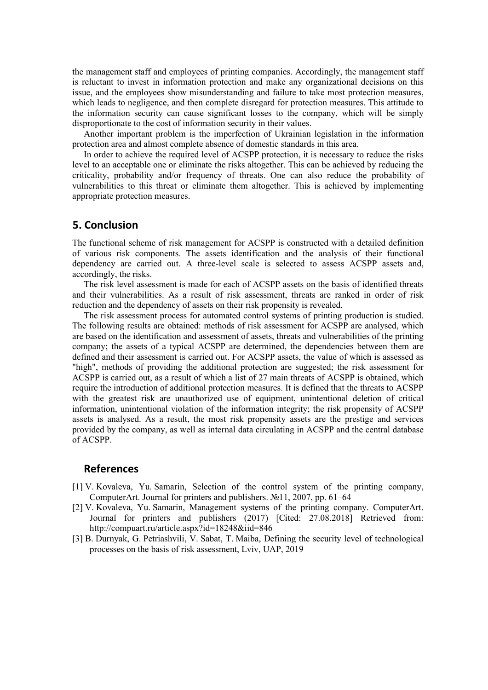the management staff and employees of printing companies. Accordingly, the management staff is reluctant to invest in information protection and make any organizational decisions on this issue, and the employees show misunderstanding and failure to take most protection measures, which leads to negligence, and then complete disregard for protection measures. This attitude to the information security can cause significant losses to the company, which will be simply disproportionate to the cost of information security in their values.

Another important problem is the imperfection of Ukrainian legislation in the information protection area and almost complete absence of domestic standards in this area.

In order to achieve the required level of ACSPP protection, it is necessary to reduce the risks level to an acceptable one or eliminate the risks altogether. This can be achieved by reducing the criticality, probability and/or frequency of threats. One can also reduce the probability of vulnerabilities to this threat or eliminate them altogether. This is achieved by implementing appropriate protection measures.

### **5. Conclusion**

The functional scheme of risk management for ACSPP is constructed with a detailed definition of various risk components. The assets identification and the analysis of their functional dependency are carried out. A three-level scale is selected to assess ACSPP assets and, accordingly, the risks.

The risk level assessment is made for each of ACSPP assets on the basis of identified threats and their vulnerabilities. As a result of risk assessment, threats are ranked in order of risk reduction and the dependency of assets on their risk propensity is revealed.

The risk assessment process for automated control systems of printing production is studied. The following results are obtained: methods of risk assessment for ACSPP are analysed, which are based on the identification and assessment of assets, threats and vulnerabilities of the printing company; the assets of a typical ACSPP are determined, the dependencies between them are defined and their assessment is carried out. For ACSPP assets, the value of which is assessed as "high", methods of providing the additional protection are suggested; the risk assessment for ACSPP is carried out, as a result of which a list of 27 main threats of ACSPP is obtained, which require the introduction of additional protection measures. It is defined that the threats to ACSPP with the greatest risk are unauthorized use of equipment, unintentional deletion of critical information, unintentional violation of the information integrity; the risk propensity of ACSPP assets is analysed. As a result, the most risk propensity assets are the prestige and services provided by the company, as well as internal data circulating in ACSPP and the central database of ACSPP.

#### **References**

- [1] V. Kovaleva, Yu. Samarin, Selection of the control system of the printing company, ComputerArt. Journal for printers and publishers. №11, 2007, pp. 61–64
- [2] V. Kovaleva, Yu. Samarin, Management systems of the printing company. ComputerArt. Journal for printers and publishers (2017) [Cited: 27.08.2018] Retrieved from: <http://compuart.ru/article.aspx?id=18248&iid=846>
- [3] B. Durnyak, G. Petriashvili, V. Sabat, T. Maiba, Defining the security level of technological processes on the basis of risk assessment, Lviv, UAP, 2019